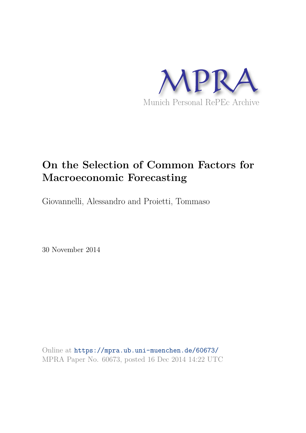

# **On the Selection of Common Factors for Macroeconomic Forecasting**

Giovannelli, Alessandro and Proietti, Tommaso

30 November 2014

Online at https://mpra.ub.uni-muenchen.de/60673/ MPRA Paper No. 60673, posted 16 Dec 2014 14:22 UTC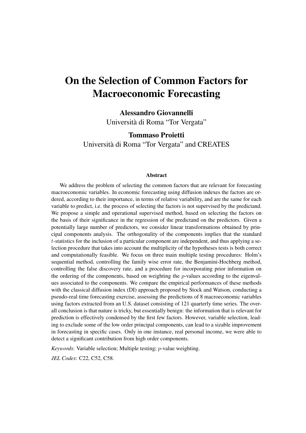## On the Selection of Common Factors for Macroeconomic Forecasting

Alessandro Giovannelli

Universita di Roma "Tor Vergata" `

Tommaso Proietti Universita di Roma "Tor Vergata" and CREATES `

#### Abstract

We address the problem of selecting the common factors that are relevant for forecasting macroeconomic variables. In economic forecasting using diffusion indexes the factors are ordered, according to their importance, in terms of relative variability, and are the same for each variable to predict, i.e. the process of selecting the factors is not supervised by the predictand. We propose a simple and operational supervised method, based on selecting the factors on the basis of their significance in the regression of the predictand on the predictors. Given a potentially large number of predictors, we consider linear transformations obtained by principal components analysis. The orthogonality of the components implies that the standard t-statistics for the inclusion of a particular component are independent, and thus applying a selection procedure that takes into account the multiplicity of the hypotheses tests is both correct and computationally feasible. We focus on three main multiple testing procedures: Holm's sequential method, controlling the family wise error rate, the Benjamini-Hochberg method, controlling the false discovery rate, and a procedure for incorporating prior information on the ordering of the components, based on weighting the p-values according to the eigenvalues associated to the components. We compare the empirical performances of these methods with the classical diffusion index (DI) approach proposed by Stock and Watson, conducting a pseudo-real time forecasting exercise, assessing the predictions of 8 macroeconomic variables using factors extracted from an U.S. dataset consisting of 121 quarterly time series. The overall conclusion is that nature is tricky, but essentially benign: the information that is relevant for prediction is effectively condensed by the first few factors. However, variable selection, leading to exclude some of the low order principal components, can lead to a sizable improvement in forecasting in specific cases. Only in one instance, real personal income, we were able to detect a significant contribution from high order components.

*Keywords*: Variable selection; Multiple testing; p-value weighting.

*JEL Codes*: C22, C52, C58.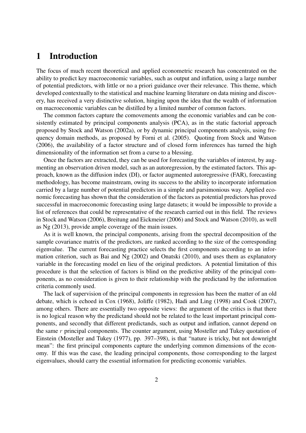## 1 Introduction

The focus of much recent theoretical and applied econometric research has concentrated on the ability to predict key macroeconomic variables, such as output and inflation, using a large number of potential predictors, with little or no a priori guidance over their relevance. This theme, which developed contextually to the statistical and machine learning literature on data mining and discovery, has received a very distinctive solution, hinging upon the idea that the wealth of information on macroeconomic variables can be distilled by a limited number of common factors.

The common factors capture the comovements among the economic variables and can be consistently estimated by principal components analysis (PCA), as in the static factorial approach proposed by Stock and Watson (2002a), or by dynamic principal components analysis, using frequency domain methods, as proposed by Forni et al. (2005). Quoting from Stock and Watson (2006), the availability of a factor structure and of closed form inferences has turned the high dimensionality of the information set from a curse to a blessing.

Once the factors are extracted, they can be used for forecasting the variables of interest, by augmenting an observation driven model, such as an autoregression, by the estimated factors. This approach, known as the diffusion index (DI), or factor augmented autoregressive (FAR), forecasting methodology, has become mainstream, owing its success to the ability to incorporate information carried by a large number of potential predictors in a simple and parsimonious way. Applied economic forecasting has shown that the consideration of the factors as potential predictors has proved successful in macroeconomic forecasting using large datasets; it would be impossible to provide a list of references that could be representative of the research carried out in this field. The reviews in Stock and Watson (2006), Breitung and Eickmeier (2006) and Stock and Watson (2010), as well as Ng (2013), provide ample coverage of the main issues.

As it is well known, the principal components, arising from the spectral decomposition of the sample covariance matrix of the predictors, are ranked according to the size of the corresponding eigenvalue. The current forecasting practice selects the first components according to an information criterion, such as Bai and Ng (2002) and Onatski (2010), and uses them as explanatory variable in the forecasting model en lieu of the original predictors. A potential limitation of this procedure is that the selection of factors is blind on the predictive ability of the principal components, as no consideration is given to their relationship with the predictand by the information criteria commonly used.

The lack of supervision of the principal components in regression has been the matter of an old debate, which is echoed in Cox (1968), Joliffe (1982), Hadi and Ling (1998) and Cook (2007), among others. There are essentially two opposite views: the argument of the critics is that there is no logical reason why the predictand should not be related to the least important principal components, and secondly that different predictands, such as output and inflation, cannot depend on the same  $r$  principal components. The counter argument, using Mosteller and Tukey quotation of Einstein (Mosteller and Tukey (1977), pp. 397–398), is that "nature is tricky, but not downright mean": the first principal components capture the underlying common dimensions of the economy. If this was the case, the leading principal components, those corresponding to the largest eigenvalues, should carry the essential information for predicting economic variables.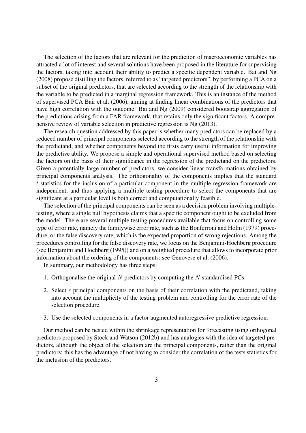The selection of the factors that are relevant for the prediction of macroeconomic variables has attracted a lot of interest and several solutions have been proposed in the literature for supervising the factors, taking into account their ability to predict a specific dependent variable. Bai and Ng (2008) propose distilling the factors, referred to as "targeted predictors", by performing a PCA on a subset of the original predictors, that are selected according to the strength of the relationship with the variable to be predicted in a marginal regression framework. This is an instance of the method of supervised PCA Bair et al. (2006), aiming at finding linear combinations of the predictors that have high correlation with the outcome. Bai and Ng (2009) considered bootstrap aggregation of the predictions arising from a FAR framework, that retains only the significant factors. A comprehensive review of variable selection in predictive regression is Ng (2013).

The research question addressed by this paper is whether many predictors can be replaced by a reduced number of principal components selected according to the strength of the relationship with the predictand, and whether components beyond the firsts carry useful information for improving the predictive ability. We propose a simple and operational supervised method based on selecting the factors on the basis of their significance in the regression of the predictand on the predictors. Given a potentially large number of predictors, we consider linear transformations obtained by principal components analysis. The orthogonality of the components implies that the standard  $t$  statistics for the inclusion of a particular component in the multiple regression framework are independent, and thus applying a multiple testing procedure to select the components that are significant at a particular level is both correct and computationally feasible.

The selection of the principal components can be seen as a decision problem involving multipletesting, where a single null hypothesis claims that a specific component ought to be excluded from the model. There are several multiple testing procedures available that focus on controlling some type of error rate, namely the familywise error rate, such as the Bonferroni and Holm (1979) procedure, or the false discovery rate, which is the expected proportion of wrong rejections. Among the procedures controlling for the false discovery rate, we focus on the Benjamini-Hochberg procedure (see Benjamini and Hochberg (1995)) and on a weighted procedure that allows to incorporate prior information about the ordering of the components; see Genovese et al. (2006).

In summary, our methodology has three steps:

- 1. Orthogonalise the original  $N$  predictors by computing the  $N$  standardised PCs.
- 2. Select  $r$  principal components on the basis of their correlation with the predictand, taking into account the multiplicity of the testing problem and controlling for the error rate of the selection procedure.
- 3. Use the selected components in a factor augmented autoregressive predictive regression.

Our method can be nested within the shrinkage representation for forecasting using orthogonal predictors proposed by Stock and Watson (2012b) and has analogies with the idea of targeted predictors, although the object of the selection are the principal components, rather than the original predictors: this has the advantage of not having to consider the correlation of the tests statistics for the inclusion of the predictors.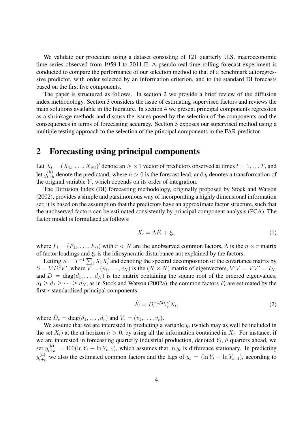We validate our procedure using a dataset consisting of 121 quarterly U.S. macroeconomic time series observed from 1959-I to 2011-II. A pseudo real-time rolling forecast experiment is conducted to compare the performance of our selection method to that of a benchmark autoregressive predictor, with order selected by an information criterion, and to the standard DI forecasts based on the first five components.

The paper is structured as follows. In section 2 we provide a brief review of the diffusion index methodology. Section 3 considers the issue of estimating supervised factors and reviews the main solutions available in the literature. In section 4 we present principal components regression as a shrinkage methods and discuss the issues posed by the selection of the components and the consequences in terms of forecasting accuracy. Section 5 exposes our supervised method using a multiple testing approach to the selection of the principal components in the FAR predictor.

## 2 Forecasting using principal components

Let  $X_t = (X_{1t}, \dots, X_{Nt})'$  denote an  $N \times 1$  vector of predictors observed at times  $t = 1, \dots T$ , and let  $y_{t+l}^{(h)}$  $t_{t+h}^{(h)}$  denote the predictand, where  $h > 0$  is the forecast lead, and y denotes a transformation of the original variable  $Y$ , which depends on its order of integration.

The Diffusion Index (DI) forecasting methodology, originally proposed by Stock and Watson (2002), provides a simple and parsimonious way of incorporating a highly dimensional information set; it is based on the assumption that the predictors have an approximate factor structure, such that the unobserved factors can be estimated consistently by principal component analysis (PCA). The factor model is formulated as follows:

$$
X_t = \Lambda F_t + \xi_t,\tag{1}
$$

where  $F_t = (F_{1t}, \dots, F_{rt})$  with  $r < N$  are the unobserved common factors,  $\Lambda$  is the  $n \times r$  matrix of factor loadings and  $\xi_t$  is the idiosyncratic disturbance not explained by the factors.

Letting  $S = T^{-1} \sum_{t} X_t X_t'$  and denoting the spectral decomposition of the covariance matrix by  $S = V D^2 V'$ , where  $V = (v_1, \dots, v_N)$  is the  $(N \times N)$  matrix of eigenvectors,  $V'V = V V' = I_N$ , and  $D = diag(d_1, \ldots, d_N)$  is the matrix containing the square root of the ordered eigenvalues,  $d_1 \geq d_2 \geq \cdots \geq d_N$ , as in Stock and Watson (2002a), the common factors  $F_t$  are estimated by the first  $r$  standardised principal components

$$
\hat{F}_t = D_r^{-1/2} V'_r X_t,
$$
\n(2)

where  $D_r = \text{diag}(d_1, \ldots, d_r)$  and  $V_r = (v_1, \ldots, v_r)$ .

We assume that we are interested in predicting a variable  $y_t$  (which may as well be included in the set  $X_t$ ) at the at horizon  $h > 0$ , by using all the information contained in  $X_t$ . For instance, if we are interested in forecasting quarterly industrial production, denoted  $Y_t$ , h quarters ahead, we set  $y_{t+h}^{(h)} = 400(\ln Y_t - \ln Y_{t-1})$ , which assumes that  $\ln y_t$  is difference stationary. In predicting  $y_{t+h}^{(h)}$  we also the estimated common factors and the lags of  $y_t = (\ln Y_t - \ln Y_{t-1})$ , according to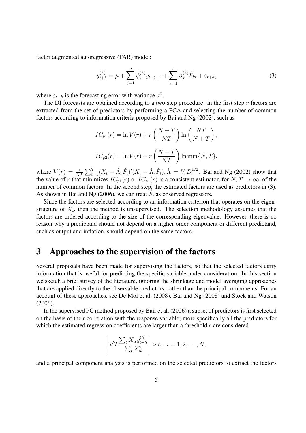factor augmented autoregressive (FAR) model:

$$
y_{t+h}^{(h)} = \mu + \sum_{j=1}^{p} \phi_j^{(h)} y_{t-j+1} + \sum_{k=1}^{r} \beta_k^{(h)} \hat{F}_{kt} + \varepsilon_{t+h}, \tag{3}
$$

where  $\varepsilon_{t+h}$  is the forecasting error with variance  $\sigma^2$ .

The DI forecasts are obtained according to a two step procedure: in the first step  $r$  factors are extracted from the set of predictors by performing a PCA and selecting the number of common factors according to information criteria proposed by Bai and Ng (2002), such as

$$
IC_{p1}(r) = \ln V(r) + r\left(\frac{N+T}{NT}\right)\ln\left(\frac{NT}{N+T}\right),
$$
  

$$
IC_{p2}(r) = \ln V(r) + r\left(\frac{N+T}{NT}\right)\ln\min\{N,T\},
$$

where  $V(r) = \frac{1}{NT} \sum_{t=1}^{T} (X_t - \hat{\Lambda}_r \hat{F}_t)' (X_t - \hat{\Lambda}_r \hat{F}_t), \hat{\Lambda} = V_r D_r^{1/2}$ . Bai and Ng (2002) show that the value of r that minimizes  $IC_{p1}(r)$  or  $IC_{p1}(r)$  is a consistent estimator, for  $N, T \to \infty$ , of the number of common factors. In the second step, the estimated factors are used as predictors in (3). As shown in Bai and Ng (2006), we can treat  $\hat{F}_t$  as observed regressors.

Since the factors are selected according to an information criterion that operates on the eigenstructure of  $X_t$ , then the method is unsupervised. The selection methodology assumes that the factors are ordered according to the size of the corresponding eigenvalue. However, there is no reason why a predictand should not depend on a higher order component or different predictand, such as output and inflation, should depend on the same factors.

### 3 Approaches to the supervision of the factors

Several proposals have been made for supervising the factors, so that the selected factors carry information that is useful for predicting the specific variable under consideration. In this section we sketch a brief survey of the literature, ignoring the shrinkage and model averaging approaches that are applied directly to the observable predictors, rather than the principal components. For an account of these approaches, see De Mol et al. (2008), Bai and Ng (2008) and Stock and Watson (2006).

In the supervised PC method proposed by Bair et al. (2006) a subset of predictors is first selected on the basis of their correlation with the response variable; more specifically all the predictors for which the estimated regression coefficients are larger than a threshold  $c$  are considered

$$
\left|\sqrt{T}\frac{\sum_{t}X_{it}y_{t+h}^{(h)}}{\sum_{t}X_{it}^{2}}\right|>c, \quad i=1,2,\ldots,N,
$$

and a principal component analysis is performed on the selected predictors to extract the factors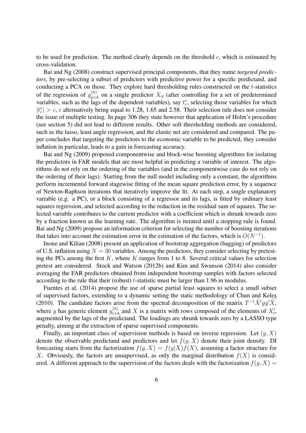to be used for prediction. The method clearly depends on the threshold  $c$ , which is estimated by cross-validation.

Bai and Ng (2008) construct supervised principal components, that they name *targeted predictors*, by pre-selecting a subset of predictors with predictive power for a specific predictand, and conducting a PCA on those. They explore hard thresholding rules constructed on the t-statistics of the regression of  $y_{u+1}^{(h)}$  $y_{t+h}^{(h)}$  on a single predictor  $X_{it}$  (after controlling for a set of predetermined variables, such as the lags of the dependent variables), say  $t_i^*$ , selecting those variables for which  $|t_i^*| > c$ , c alternatively being equal to 1.28, 1.65 and 2.58. Their selection rule does not consider the issue of multiple testing. In page 306 they state however that application of Holm's procedure (see section 5) did not lead to different results. Other soft thresholding methods are considered, such as the lasso, least angle regression, and the elastic net are considered and compared. The paper concludes that targeting the predictors to the economic variable to be predicted, they consider inflation in particular, leads to a gain in forecasting accuracy.

Bai and Ng (2009) proposed componentwise and block-wise boosting algorithms for isolating the predictors in FAR models that are most helpful in predicting a variable of interest. The algorithms do not rely on the ordering of the variables (and in the componentwise case do not rely on the ordering of their lags). Starting from the null model including only a constant, the algorithms perform incremental forward stagewise fitting of the mean square prediction error, by a sequence of Newton-Raphson iterations that iteratively improve the fit. At each step, a single explanatory variable (e.g. a PC), or a block consisting of a regressor and its lags, is fitted by ordinary least squares regression, and selected according to the reduction in the residual sum of squares. The selected variable contributes to the current predictor with a coefficient which is shrunk towards zero by a fraction known as the learning rate. The algorithm is iterated until a stopping rule is found. Bai and Ng (2009) propose an information criterion for selecting the number of boosting iterations that takes into account the estimation error in the estimation of the factors, which is  $O(N^{-1})$ .

Inoue and Kilian (2008) present an application of bootstrap aggregation (bagging) of predictors of U.S. inflation using  $N = 30$  variables. Among the predictors, they consider selecting by pretesting the PCs among the first  $K$ , where  $K$  ranges from 1 to 8. Several critical values for selection pretest are considered. Stock and Watson (2012b) and Kim and Swanson (2014) also consider averaging the FAR predictors obtained from independent bootstrap samples with factors selected according to the rule that their (robust)  $t$ -statistic must be larger than 1.96 in modulus.

Fuentes et al. (2014) propose the use of sparse partial least squares to select a small subset of supervised factors, extending to a dynamic setting the static methodology of Chun and Keles¸ (2010). The candidate factors arise from the spectral decomposition of the matrix  $T^{-1}\tilde{X}'yy'\tilde{X}$ , where y has generic element  $y_{t+1}^{(h)}$  $t_{t+h}^{(h)}$  and X is a matrix with rows composed of the elements of  $X'_t$ , augmented by the lags of the predictand. The loadings are shrunk towards zero by a LASSO type penalty, aiming at the extraction of sparse supervised components.

Finally, an important class of supervision methods is based on inverse regression. Let  $(y, X)$ denote the observable predictand and predictors and let  $f(y, X)$  denote their joint density. DI forecasting starts from the factorization  $f(y, X) = f(y|X)f(X)$ , assuming a factor structure for X. Obviously, the factors are unsupervised, as only the marginal distribution  $f(X)$  is considered. A different approach to the supervision of the factors deals with the factorization  $f(y, X)$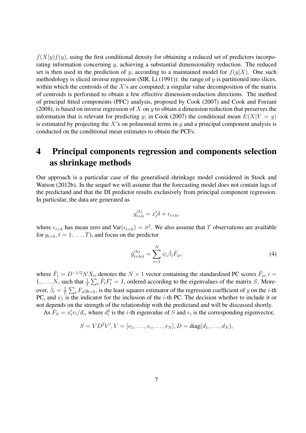$f(X|y)f(y)$ , using the first conditional density for obtaining a reduced set of predictors incorporating information concerning y, achieving a substantial dimensionality reduction. The reduced set is then used in the prediction of y, according to a maintained model for  $f(y|X)$ . One such methodology is sliced inverse regression (SIR, Li  $(1991)$ ): the range of y is partitioned into slices, within which the centroids of the  $X$ 's are computed; a singular value decomposition of the matrix of centroids is performed to obtain a few effective dimension-reduction directions. The method of principal fitted components (PFC) analysis, proposed by Cook (2007) and Cook and Forzani (2008), is based on inverse regression of X on y to obtain a dimension reduction that preserves the information that is relevant for predicting y; in Cook (2007) the conditional mean  $E(X|Y = y)$ is estimated by projecting the X's on polinomial terms in  $y$  and a principal component analysis is conducted on the conditional mean estimates to obtain the PCFs.

## 4 Principal components regression and components selection as shrinkage methods

Our approach is a particular case of the generalised shrinkage model considered in Stock and Watson (2012b). In the sequel we will assume that the forecasting model does not contain lags of the predictand and that the DI predictor results exclusively from principal component regression. In particular, the data are generated as

$$
y_{t+h}^{(h)} = x_t' \delta + \epsilon_{t+h},
$$

where  $\epsilon_{t+h}$  has mean zero and  $\text{Var}(\epsilon_{t+h}) = \sigma^2$ . We also assume that T observations are available for  $y_{t+h}$ ,  $t = 1, \ldots, T$ , and focus on the predictor

$$
\hat{y}_{t+h|t}^{(h)} = \sum_{i=1}^{N} \psi_i \hat{\beta}_i \hat{F}_{it},
$$
\n(4)

where  $\hat{F}_t = D^{-1/2} \Lambda' X_t$ , denotes the  $N \times 1$  vector containing the standardised PC scores  $\hat{F}_{it}$ ,  $i =$  $1, \ldots, N$ , such that  $\frac{1}{T} \sum_{t} \hat{F}_{t} \hat{F}'_{t} = I$ , ordered according to the eigenvalues of the matrix S. Moreover,  $\hat{\beta}_i = \frac{1}{7}$  $\frac{1}{T} \sum_{t} F_{it} y_{t+h}$ , is the least squares estimator of the regression coefficient of y on the *i*-th PC, and  $\psi_i$  is the indicator for the inclusion of the *i*-th PC. The decision whether to include it or not depends on the strength of the relationship with the predictand and will be discussed shortly.

As  $\hat{F}_{it} = x'_t v_i / d_i$ , where  $d_i^2$  is the *i*-th eigenvalue of S and  $v_i$  is the corresponding eigenvector,

$$
S = V D^{2} V', V = [v_{1}, \ldots, v_{i}, \ldots, v_{N}], D = diag(d_{1}, \ldots, d_{N}),
$$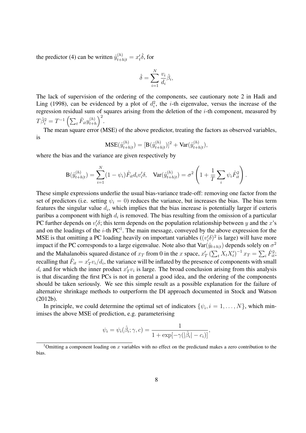the predictor (4) can be written  $\hat{y}_{t+h|t}^{(h)} = x_t' \hat{\delta}$ , for

$$
\hat{\delta} = \sum_{i=1}^{N} \frac{v_i}{d_i} \hat{\beta}_i,
$$

The lack of supervision of the ordering of the components, see cautionary note 2 in Hadi and Ling (1998), can be evidenced by a plot of  $d_i^2$ , the *i*-th eigenvalue, versus the increase of the regression residual sum of squares arising from the deletion of the i-th component, measured by  $T\hat{\beta}_i^2=T^{-1}\left(\sum_t \hat{F}_{it}y_{t+l}^{(h)}\right)$  $\binom{(h)}{t+h}^2.$ 

The mean square error (MSE) of the above predictor, treating the factors as observed variables, is

$$
\text{MSE}(\hat{y}_{t+h|t}^{(h)}) = [\text{B}(\hat{y}_{t+h|t}^{(h)})]^2 + \text{Var}(\hat{y}_{t+h|t}^{(h)}),
$$

where the bias and the variance are given respectively by

$$
\mathbf{B}(\hat{y}_{t+h|t}^{(h)}) = \sum_{i=1}^{N} (1 - \psi_i) \hat{F}_{it} d_i v_i' \delta, \quad \text{Var}(\hat{y}_{t+h|t}^{(h)}) = \sigma^2 \left( 1 + \frac{1}{T} \sum_{i} \psi_i \hat{F}_{it}^2 \right).
$$

These simple expressions underlie the usual bias-variance trade-off: removing one factor from the set of predictors (i.e. setting  $\psi_i = 0$ ) reduces the variance, but increases the bias. The bias term features the singular value  $d_i$ , which implies that the bias increase is potentially larger if cœteris paribus a component with high  $d_i$  is removed. The bias resulting from the omission of a particular PC further depends on  $v_i' \delta$ ; this term depends on the population relationship between y and the x's and on the loadings of the  $i$ -th PC<sup>1</sup>. The main message, conveyed by the above expression for the MSE is that omitting a PC loading heavily on important variables  $((v_i^{\prime}\delta)^2)$  is large) will have more impact if the PC corresponds to a large eigenvalue. Note also that Var $(\hat{y}_{t+h|t})$  depends solely on  $\sigma^2$ and the Mahalanobis squared distance of  $x_T$  from 0 in the x space,  $x'_T (\sum_t X_t X_t')^{-1} x_T = \sum_i \hat{F}_{it}^2$ ; recalling that  $\hat{F}_{it} = x_T' v_i/d_i$ , the variance will be inflated by the presence of components with small  $d_i$  and for which the inner product  $x'_T v_i$  is large. The broad conclusion arising from this analysis is that discarding the first PCs is not in general a good idea, and the ordering of the components should be taken seriously. We see this simple result as a possible explanation for the failure of alternative shrinkage methods to outperform the DI approach documented in Stock and Watson (2012b).

In principle, we could determine the optimal set of indicators  $\{\psi_i, i = 1, \dots, N\}$ , which minimises the above MSE of prediction, e.g. parameterising

$$
\psi_i = \psi_i(\hat{\beta}_i; \gamma, c) = \frac{1}{1 + \exp[-\gamma(|\hat{\beta}_i| - c_i)]},
$$

<sup>&</sup>lt;sup>1</sup>Omitting a component loading on  $x$  variables with no effect on the predictand makes a zero contribution to the bias.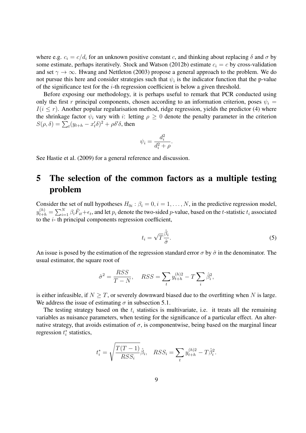where e.g.  $c_i = c/d_i$  for an unknown positive constant c, and thinking about replacing  $\delta$  and  $\sigma$  by some estimate, perhaps iteratively. Stock and Watson (2012b) estimate  $c_i = c$  by cross-validation and set  $\gamma \to \infty$ . Hwang and Nettleton (2003) propose a general approach to the problem. We do not pursue this here and consider strategies such that  $\psi_i$  is the indicator function that the p-value of the significance test for the i-th regression coefficient is below a given threshold.

Before exposing our methodology, it is perhaps useful to remark that PCR conducted using only the first r principal components, chosen according to an information criterion, poses  $\psi_i =$  $I(i \leq r)$ . Another popular regularisation method, ridge regression, yields the predictor (4) where the shrinkage factor  $\psi_i$  vary with i: letting  $\rho \geq 0$  denote the penalty parameter in the criterion  $S(\rho, \delta) = \sum_t (y_{t+h} - x_t^{\prime} \delta)^2 + \rho \delta^{\prime} \delta$ , then

$$
\psi_i = \frac{d_i^2}{d_i^2 + \rho}.
$$

See Hastie et al. (2009) for a general reference and discussion.

## 5 The selection of the common factors as a multiple testing problem

Consider the set of null hypotheses  $H_{0i}$ :  $\beta_i = 0, i = 1, ..., N$ , in the predictive regression model,  $y_{t+h}^{(h)}=\sum_{i=1}^N\beta_i\hat{F}_{it}+\epsilon_t,$  and let  $p_i$  denote the two-sided  $p$ -value, based on the  $t$ -statistic  $t_i$  associated to the  $i$ -th principal components regression coefficient,

$$
t_i = \sqrt{T} \frac{\hat{\beta}_i}{\hat{\sigma}}.\tag{5}
$$

An issue is posed by the estimation of the regression standard error  $\sigma$  by  $\hat{\sigma}$  in the denominator. The usual estimator, the square root of

$$
\hat{\sigma}^2 = \frac{RSS}{T - N}, \quad RSS = \sum_t y_{t+h}^{(h)2} - T \sum_i \hat{\beta}_i^2,
$$

is either infeasible, if  $N \geq T$ , or severely downward biased due to the overfitting when N is large. We address the issue of estimating  $\sigma$  in subsection 5.1.

The testing strategy based on the  $t_i$  statistics is multivariate, i.e. it treats all the remaining variables as nuisance parameters, when testing for the significance of a particular effect. An alternative strategy, that avoids estimation of  $\sigma$ , is componentwise, being based on the marginal linear regression  $t_i^*$  statistics,

$$
t_i^* = \sqrt{\frac{T(T-1)}{RSS_i}} \hat{\beta}_i, \quad RSS_i = \sum_t y_{t+h}^{(h)2} - T \hat{\beta}_i^2.
$$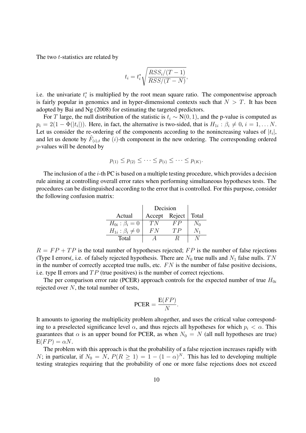The two *t*-statistics are related by

$$
t_i = t_i^* \sqrt{\frac{RSS_i/(T-1)}{RSS/(T-N)}},
$$

i.e. the univariate  $t_i^*$  is multiplied by the root mean square ratio. The componentwise approach is fairly popular in genomics and in hyper-dimensional contexts such that  $N > T$ . It has been adopted by Bai and Ng (2008) for estimating the targeted predictors.

For T large, the null distribution of the statistic is  $t_i \sim N(0, 1)$ , and the p-value is computed as  $p_i = 2(1 - \Phi(|t_i|))$ . Here, in fact, the alternative is two-sided, that is  $H_{1i} : \beta_i \neq 0, i = 1, \dots N$ . Let us consider the re-ordering of the components according to the nonincreasing values of  $|t_i|$ , and let us denote by  $\hat{F}_{(i),t}$  the  $(i)$ -th component in the new ordering. The corresponding ordered p-values will be denoted by

$$
p_{(1)} \leq p_{(2)} \leq \cdots \leq p_{(i)} \leq \cdots \leq p_{(K)}.
$$

The inclusion of a the *i*-th PC is based on a multiple testing procedure, which provides a decision rule aiming at controlling overall error rates when performing simultaneous hypotheses tests. The procedures can be distinguished according to the error that is controlled. For this purpose, consider the following confusion matrix:

|                          | Decision      |    |         |
|--------------------------|---------------|----|---------|
| Actual                   | Accept Reject |    | Total   |
| $H_{0i}: \beta_i=0$      | T N           | FР | $N_0$   |
| $H_{1i}: \beta_i \neq 0$ | F'N           | TP | $N_{1}$ |
| Total                    |               |    |         |

 $R = FP + TP$  is the total number of hypotheses rejected; FP is the number of false rejections (Type I errors(, i.e. of falsely rejected hypothesis. There are  $N_0$  true nulls and  $N_1$  false nulls. TN in the number of correctly accepted true nulls, etc.  $FN$  is the number of false positive decisions, i.e. type II errors and  $TP$  (true positives) is the number of correct rejections.

The per comparison error rate (PCER) approach controls for the expected number of true  $H_{0i}$ rejected over  $N$ , the total number of tests,

$$
\text{PCER} = \frac{\text{E}(FP)}{N}.
$$

It amounts to ignoring the multiplicity problem altogether, and uses the critical value corresponding to a preselected significance level  $\alpha$ , and thus rejects all hypotheses for which  $p_i < \alpha$ . This guarantees that  $\alpha$  is an upper bound for PCER, as when  $N_0 = N$  (all null hypotheses are true)  $E(FP) = \alpha N$ .

The problem with this approach is that the probability of a false rejection increases rapidly with N; in particular, if  $N_0 = N$ ,  $P(R \ge 1) = 1 - (1 - \alpha)^N$ . This has led to developing multiple testing strategies requiring that the probability of one or more false rejections does not exceed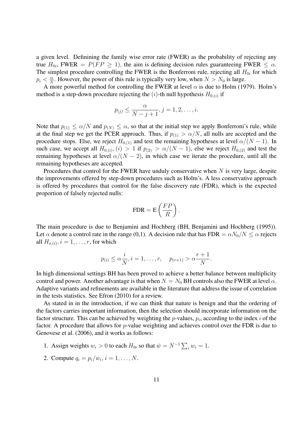a given level. Definining the family wise error rate (FWER) as the probability of rejecting any true  $H_{0i}$ , FWER =  $P(FP \ge 1)$ , the aim is defining decision rules guaranteeing FWER  $\le \alpha$ . The simplest procedure controlling the FWER is the Bonferroni rule, rejecting all  $H_{0i}$  for which  $p_i < \frac{\alpha}{N}$  $\frac{\alpha}{N}$ . However, the power of this rule is typically very low, when  $N > N_0$  is large.

A more powerful method for controlling the FWER at level  $\alpha$  is due to Holm (1979). Holm's method is a step-down procedure rejecting the  $(i)$ -th null hypothesis  $H_{0,(i)}$  if

$$
p_{(j)} \leq \frac{\alpha}{N-j+1}, j = 1, 2, ..., i.
$$

Note that  $p_{(1)} \le \alpha/N$  and  $p_{(N)} \le \alpha$ , so that at the initial step we apply Bonferroni's rule, while at the final step we get the PCER approach. Thus, if  $p_{(1)} > \alpha/N$ , all nulls are accepted and the procedure stops. Else, we reject  $H_{0,(1)}$  and test the remaining hypotheses at level  $\alpha/(N-1)$ . In such case, we accept all  $H_{0,(i)}$ ,  $(i) > 1$  if  $p_{(2)} > \alpha/(N-1)$ , else we reject  $H_{0,(2)}$  and test the remaining hypotheses at level  $\alpha/(N-2)$ , in which case we iterate the procedure, until all the remaining hypotheses are accepted.

Procedures that control for the FWER have unduly conservative when  $N$  is very large, despite the improvements offered by step-down procedures such as Holm's. A less conservative approach is offered by procedures that control for the false discovery rate (FDR), which is the expected proportion of falsely rejected nulls:

$$
\text{FDR} = \mathbf{E}\left(\frac{FP}{R}\right).
$$

The main procedure is due to Benjamini and Hochberg (BH, Benjamini and Hochberg (1995)). Let  $\alpha$  denote a control rate in the range (0,1). A decision rule that has FDR =  $\alpha N_0/N \leq \alpha$  rejects all  $H_{o,(i)}$ ,  $i = 1, \ldots, r$ , for which

$$
p_{(i)} \le \alpha \frac{i}{N}, i = 1, ..., r, \quad p_{(r+1)} > \alpha \frac{r+1}{N}.
$$

In high dimensional settings BH has been proved to achieve a better balance between multiplicity control and power. Another advantage is that when  $N = N_0$  BH controls also the FWER at level  $\alpha$ . Adaptive variants and refinements are available in the literature that address the issue of correlation in the tests statistics. See Efron (2010) for a review.

As stated in in the introduction, if we can think that nature is benign and that the ordering of the factors carries important information, then the selection should incorporate information on the factor structure. This can be achieved by weighting the *p*-values,  $p_i$ , according to the index *i* of the factor. A procedure that allows for *p*-value weighting and achieves control over the FDR is due to Genovese et al. (2006), and it works as follows:

- 1. Assign weights  $w_i > 0$  to each  $H_{0i}$  so that  $\bar{w} = N^{-1} \sum_i w_i = 1$ .
- 2. Compute  $q_i = p_i/w_i, i = 1, ..., N$ .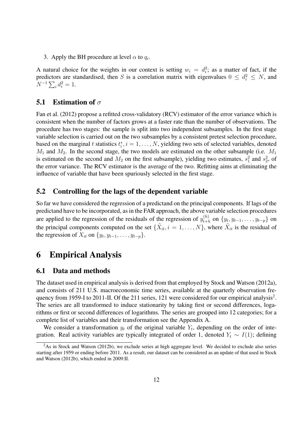3. Apply the BH procedure at level  $\alpha$  to  $q_i$ .

A natural choice for the weights in our context is setting  $w_i = d_i^2$ ; as a matter of fact, if the predictors are standardised, then S is a correlation matrix with eigenvalues  $0 \leq d_i^2 \leq N$ , and  $N^{-1} \sum_i d_i^2 = 1.$ 

#### 5.1 Estimation of  $\sigma$

Fan et al. (2012) propose a refitted cross-validatory (RCV) estimator of the error variance which is consistent when the number of factors grows at a faster rate than the number of observations. The procedure has two stages: the sample is split into two independent subsamples. In the first stage variable selection is carried out on the two subsamples by a consistent pretest selection procedure, based on the marginal t statistics  $t_i^*$ ,  $i = 1, \ldots, N$ , yielding two sets of selected variables, denoted  $M_1$  and  $M_2$ . In the second stage, the two models are estimated on the other subsample (i.e.  $M_1$ ) is estimated on the second and  $M_2$  on the first subsample), yielding two estimates,  $s_1^2$  and  $s_2^2$ , of the error variance. The RCV estimator is the average of the two. Refitting aims at eliminating the influence of variable that have been spuriously selected in the first stage.

#### 5.2 Controlling for the lags of the dependent variable

So far we have considered the regression of a predictand on the principal components. If lags of the predictand have to be incorporated, as in the FAR approach, the above variable selection procedures are applied to the regression of the residuals of the regression of  $y_{t+l}^{(h)}$  $\{y_{t}, y_{t-1}, \ldots, y_{t-p}\}$  on the principal components computed on the set  $\{\tilde{X}_{it}, i = 1, \ldots, N\}$ , where  $\tilde{X}_{it}$  is the residual of the regression of  $X_{it}$  on  $\{y_t, y_{t-1}, \ldots, y_{t-p}\}.$ 

## 6 Empirical Analysis

#### 6.1 Data and methods

The dataset used in empirical analysis is derived from that employed by Stock and Watson (2012a), and consists of 211 U.S. macroeconomic time series, available at the quarterly observation frequency from 1959-I to 2011-II. Of the 211 series, 121 were considered for our empirical analysis<sup>2</sup>. The series are all transformed to induce stationarity by taking first or second differences, logarithms or first or second differences of logarithms. The series are grouped into 12 categories; for a complete list of variables and their transformation see the Appendix A.

We consider a transformation  $y_t$  of the original variable  $Y_t$ , depending on the order of integration. Real activity variables are typically integrated of order 1, denoted  $Y_t \sim I(1)$ ; defining

 $2$ As in Stock and Watson (2012b), we exclude series at high aggregate level. We decided to exclude also series starting after 1959 or ending before 2011. As a result, our dataset can be considered as an update of that used in Stock and Watson (2012b), which ended in 2009:II.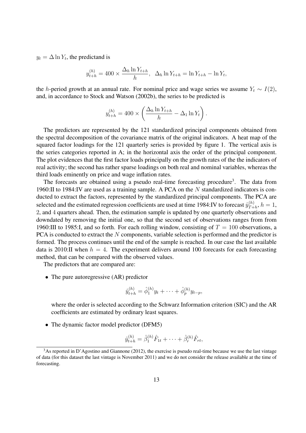$y_t = \Delta \ln Y_t$ , the predictand is

$$
y_{t+h}^{(h)} = 400 \times \frac{\Delta_h \ln Y_{t+h}}{h}, \quad \Delta_h \ln Y_{t+h} = \ln Y_{t+h} - \ln Y_t,
$$

the h-period growth at an annual rate. For nominal price and wage series we assume  $Y_t \sim I(2)$ , and, in accordance to Stock and Watson (2002b), the series to be predicted is

$$
y_{t+h}^{(h)} = 400 \times \left(\frac{\Delta_h \ln Y_{t+h}}{h} - \Delta_1 \ln Y_t\right).
$$

The predictors are represented by the 121 standardized principal components obtained from the spectral decomposition of the covariance matrix of the original indicators. A heat map of the squared factor loadings for the 121 quarterly series is provided by figure 1. The vertical axis is the series categories reported in A; in the horizontal axis the order of the principal component. The plot evidences that the first factor loads principally on the growth rates of the the indicators of real activity; the second has rather sparse loadings on both real and nominal variables, whereas the third loads eminently on price and wage inflation rates.

The forecasts are obtained using a pseudo real-time forecasting procedure<sup>3</sup>. The data from 1960:II to 1984:IV are used as a training sample. A PCA on the  $N$  standardized indicators is conducted to extract the factors, represented by the standardized principal components. The PCA are selected and the estimated regression coefficients are used at time 1984:IV to forecast  $\hat{y}_{T+}^{(h)}$  $T_{Th}^{(n)}, h=1,$ 2, and 4 quarters ahead. Then, the estimation sample is updated by one quarterly observations and downdated by removing the initial one, so that the second set of observations ranges from from 1960:III to 1985:I, and so forth. For each rolling window, consisting of  $T = 100$  observations, a PCA is conducted to extract the N components, variable selection is performed and the predictor is formed. The process continues until the end of the sample is reached. In our case the last available data is 2010:II when  $h = 4$ . The experiment delivers around 100 forecasts for each forecasting method, that can be compared with the observed values.

The predictors that are compared are:

• The pure autoregressive (AR) predictor

$$
\hat{y}_{t+h}^{(h)} = \hat{\phi}_1^{(h)} y_t + \cdots + \hat{\phi}_p^{(h)} y_{t-p},
$$

where the order is selected according to the Schwarz Information criterion (SIC) and the AR coefficients are estimated by ordinary least squares.

• The dynamic factor model predictor (DFM5)

$$
\hat{y}_{t+h}^{(h)} = \hat{\beta}_1^{(h)} \hat{F}_{1t} + \dots + \hat{\beta}_r^{(h)} \hat{F}_{rt},
$$

<sup>&</sup>lt;sup>3</sup>As reported in D'Agostino and Giannone (2012), the exercise is pseudo real-time because we use the last vintage of data (for this dataset the last vintage is November 2011) and we do not consider the release available at the time of forecasting.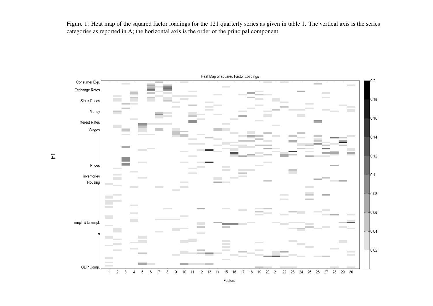Figure 1: Heat map of the squared factor loadings for the 121 quarterly series as given in table 1. The vertical axis is the seriescategories as reported in A; the horizontal axis is the order of the principal component.

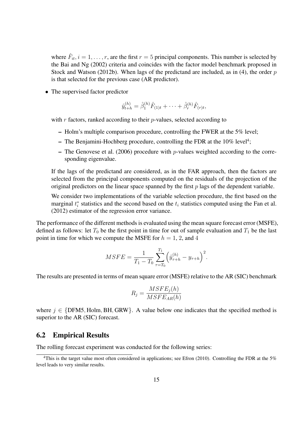where  $\hat{F}_{it}$ ,  $i = 1, \ldots, r$ , are the first  $r = 5$  principal components. This number is selected by the Bai and Ng (2002) criteria and coincides with the factor model benchmark proposed in Stock and Watson (2012b). When lags of the predictand are included, as in (4), the order  $p$ is that selected for the previous case (AR predictor).

• The supervised factor predictor

$$
\hat{y}_{t+h}^{(h)} = \hat{\beta}_1^{(h)} \hat{F}_{(1)t} + \cdots + \hat{\beta}_r^{(h)} \hat{F}_{(r)t},
$$

with  $r$  factors, ranked according to their  $p$ -values, selected according to

- Holm's multiple comparison procedure, controlling the FWER at the 5% level;
- The Benjamini-Hochberg procedure, controlling the FDR at the  $10\%$  level<sup>4</sup>;
- The Genovese et al. (2006) procedure with  $p$ -values weighted according to the corresponding eigenvalue.

If the lags of the predictand are considered, as in the FAR approach, then the factors are selected from the principal components computed on the residuals of the projection of the original predictors on the linear space spanned by the first  $p$  lags of the dependent variable.

We consider two implementations of the variable selection procedure, the first based on the marginal  $t_i^*$  statistics and the second based on the  $t_i$  statistics computed using the Fan et al. (2012) estimator of the regression error variance.

The performance of the different methods is evaluated using the mean square forecast error (MSFE), defined as follows: let  $T_0$  be the first point in time for out of sample evaluation and  $T_1$  be the last point in time for which we compute the MSFE for  $h = 1, 2$ , and 4

$$
MSFE = \frac{1}{T_1 - T_0} \sum_{\tau=T_0}^{T_1} \left( \hat{y}_{\tau+h}^{(h)} - y_{\tau+h} \right)^2.
$$

The results are presented in terms of mean square error (MSFE) relative to the AR (SIC) benchmark

$$
R_j = \frac{MSFE_j(h)}{MSFE_{AR}(h)}
$$

where  $j \in \{DFM5, Holm, BH, GRW\}$ . A value below one indicates that the specified method is superior to the AR (SIC) forecast.

#### 6.2 Empirical Results

The rolling forecast experiment was conducted for the following series:

<sup>&</sup>lt;sup>4</sup>This is the target value most often considered in applications; see Efron (2010). Controlling the FDR at the 5% level leads to very similar results.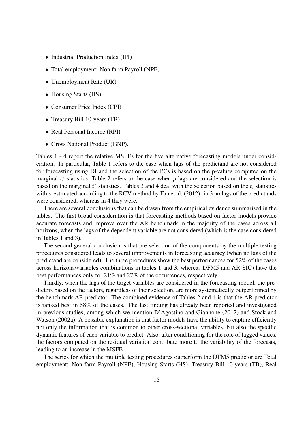- Industrial Production Index (IPI)
- Total employment: Non farm Payroll (NPE)
- Unemployment Rate (UR)
- Housing Starts (HS)
- Consumer Price Index (CPI)
- Treasury Bill 10-years (TB)
- Real Personal Income (RPI)
- Gross National Product (GNP).

Tables 1 - 4 report the relative MSFEs for the five alternative forecasting models under consideration. In particular, Table 1 refers to the case when lags of the predictand are not considered for forecasting using DI and the selection of the PCs is based on the p-values computed on the marginal  $t_i^*$  statistics; Table 2 refers to the case when p lags are considered and the selection is based on the marginal  $t_i^*$  statistics. Tables 3 and 4 deal with the selection based on the  $t_i$  statistics with  $\sigma$  estimated according to the RCV method by Fan et al. (2012): in 3 no lags of the predictands were considered, whereas in 4 they were.

There are several conclusions that can be drawn from the empirical evidence summarised in the tables. The first broad consideration is that forecasting methods based on factor models provide accurate forecasts and improve over the AR benchmark in the majority of the cases across all horizons, when the lags of the dependent variable are not considered (which is the case considered in Tables 1 and 3).

The second general conclusion is that pre-selection of the components by the multiple testing procedures considered leads to several improvements in forecasting accuracy (when no lags of the predictand are considered). The three procedures show the best performances for 52% of the cases across horizons/variables combinations in tables 1 and 3, whereas DFM5 and AR(SIC) have the best performances only for 21% and 27% of the occurrences, respectively.

Thirdly, when the lags of the target variables are considered in the forecasting model, the predictors based on the factors, regardless of their selection, are more systematically outperformed by the benchmark AR predictor. The combined evidence of Tables 2 and 4 is that the AR predictor is ranked best in 58% of the cases. The last finding has already been reported and investigated in previous studies, among which we mention D'Agostino and Giannone (2012) and Stock and Watson (2002a). A possible explanation is that factor models have the ability to capture efficiently not only the information that is common to other cross-sectional variables, but also the specific dynamic features of each variable to predict. Also, after conditioning for the role of lagged values, the factors computed on the residual variation contribute more to the variability of the forecasts, leading to an increase in the MSFE.

The series for which the multiple testing procedures outperform the DFM5 predictor are Total employment: Non farm Payroll (NPE), Housing Starts (HS), Treasury Bill 10-years (TB), Real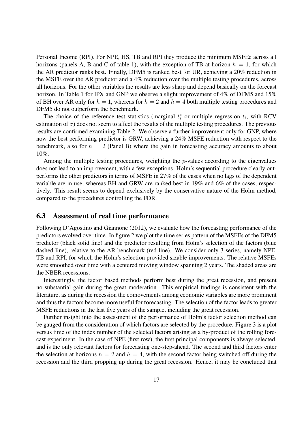Personal Income (RPI). For NPE, HS, TB and RPI they produce the minimum MSFEe across all horizons (panels A, B and C of table 1), with the exception of TB at horizon  $h = 1$ , for which the AR predictor ranks best. Finally, DFM5 is ranked best for UR, achieving a 20% reduction in the MSFE over the AR predictor and a 4% reduction over the multiple testing procedures, across all horizons. For the other variables the results are less sharp and depend basically on the forecast horizon. In Table 1 for IPX and GNP we observe a slight improvement of 4% of DFM5 and 15% of BH over AR only for  $h = 1$ , whereas for  $h = 2$  and  $h = 4$  both multiple testing procedures and DFM5 do not outperform the benchmark.

The choice of the reference test statistics (marginal  $t_i^*$  or multiple regression  $t_i$ , with RCV estimation of  $\sigma$ ) does not seem to affect the results of the multiple testing procedures. The previous results are confirmed examining Table 2. We observe a further improvement only for GNP, where now the best performing predictor is GRW, achieving a 24% MSFE reduction with respect to the benchmark, also for  $h = 2$  (Panel B) where the gain in forecasting accuracy amounts to about 10%.

Among the multiple testing procedures, weighting the  $p$ -values according to the eigenvalues does not lead to an improvement, with a few exceptions. Holm's sequential procedure clearly outperforms the other predictors in terms of MSFE in 27% of the cases when no lags of the dependent variable are in use, whereas BH and GRW are ranked best in 19% and 6% of the cases, respectively. This result seems to depend exclusively by the conservative nature of the Holm method, compared to the procedures controlling the FDR.

#### 6.3 Assessment of real time performance

Following D'Agostino and Giannone (2012), we evaluate how the forecasting performance of the predictors evolved over time. In figure 2 we plot the time series pattern of the MSFEs of the DFM5 predictor (black solid line) and the predictor resulting from Holm's selection of the factors (blue dashed line), relative to the AR benchmark (red line). We consider only 3 series, namely NPE, TB and RPI, for which the Holm's selection provided sizable improvements. The relative MSFEs were smoothed over time with a centered moving window spanning 2 years. The shaded areas are the NBER recessions.

Interestingly, the factor based methods perform best during the great recession, and present no substantial gain during the great moderation. This empirical findings is consistent with the literature, as during the recession the comovements among economic variables are more prominent and thus the factors become more useful for forecasting. The selection of the factor leads to greater MSFE reductions in the last five years of the sample, including the great recession.

Further insight into the assessment of the performance of Holm's factor selection method can be gauged from the consideration of which factors are selected by the procedure. Figure 3 is a plot versus time of the index number of the selected factors arising as a by-product of the rolling forecast experiment. In the case of NPE (first row), the first principal components is always selected, and is the only relevant factors for forecasting one-step-ahead. The second and third factors enter the selection at horizons  $h = 2$  and  $h = 4$ , with the second factor being switched off during the recession and the third propping up during the great recession. Hence, it may be concluded that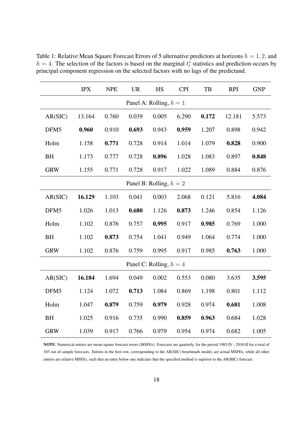|            | <b>IPX</b> | <b>NPE</b> | <b>UR</b> | <b>HS</b>                 | <b>CPI</b> | TB    | <b>RPI</b> | <b>GNP</b> |
|------------|------------|------------|-----------|---------------------------|------------|-------|------------|------------|
|            |            |            |           | Panel A: Rolling, $h = 1$ |            |       |            |            |
| AR(SIC)    | 13.164     | 0.760      | 0.039     | 0.005                     | 6.290      | 0.172 | 12.181     | 5.573      |
| DFM5       | 0.960      | 0.910      | 0.693     | 0.943                     | 0.959      | 1.207 | 0.898      | 0.942      |
| Holm       | 1.158      | 0.771      | 0.728     | 0.914                     | 1.014      | 1.079 | 0.828      | 0.900      |
| <b>BH</b>  | 1.173      | 0.777      | 0.728     | 0.896                     | 1.028      | 1.083 | 0.897      | 0.848      |
| <b>GRW</b> | 1.155      | 0.771      | 0.728     | 0.917                     | 1.022      | 1.089 | 0.884      | 0.876      |
|            |            |            |           | Panel B: Rolling, $h = 2$ |            |       |            |            |
| AR(SIC)    | 16.129     | 1.103      | 0.041     | 0.003                     | 2.068      | 0.121 | 5.816      | 4.084      |
| DFM5       | 1.026      | 1.013      | 0.680     | 1.126                     | 0.873      | 1.246 | 0.854      | 1.126      |
| Holm       | 1.102      | 0.876      | 0.757     | 0.995                     | 0.917      | 0.985 | 0.769      | 1.000      |
| <b>BH</b>  | 1.102      | 0.873      | 0.754     | 1.041                     | 0.949      | 1.064 | 0.774      | 1.000      |
| <b>GRW</b> | 1.102      | 0.876      | 0.759     | 0.995                     | 0.917      | 0.985 | 0.763      | 1.000      |
|            |            |            |           | Panel C: Rolling, $h = 4$ |            |       |            |            |
| AR(SIC)    | 16.184     | 1.694      | 0.049     | 0.002                     | 0.553      | 0.080 | 3.635      | 3.595      |
| DFM5       | 1.124      | 1.072      | 0.713     | 1.084                     | 0.869      | 1.198 | 0.801      | 1.112      |
| Holm       | 1.047      | 0.879      | 0.759     | 0.979                     | 0.928      | 0.974 | 0.681      | 1.008      |
| <b>BH</b>  | 1.025      | 0.916      | 0.735     | 0.990                     | 0.859      | 0.963 | 0.684      | 1.028      |
| <b>GRW</b> | 1.039      | 0.917      | 0.766     | 0.979                     | 0.954      | 0.974 | 0.682      | 1.005      |

Table 1: Relative Mean Square Forecast Errors of 5 alternative predictors at horizons  $h = 1, 2$ , and  $h = 4$ . The selection of the factors is based on the marginal  $t_i^*$  statistics and prediction occurs by principal component regression on the selected factors with no lags of the predictand.

NOTE: Numerical entries are mean square forecast errors (MSFEs). Forecasts are quarterly, for the period 1985:IV - 2010:II for a total of 103 out of sample forecasts. Entries in the first row, corresponding to the AR(SIC) benchmark model, are actual MSFEs, while all other entries are relative MSFEs, such that an entry below one indicates that the specified method is superior to the AR(BIC) forecast.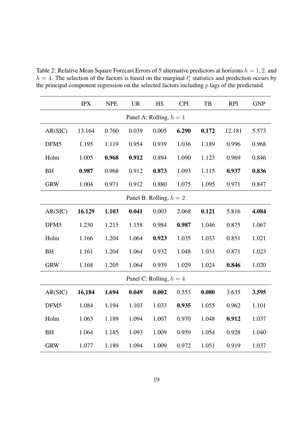Table 2: Relative Mean Square Forecast Errors of 5 alternative predictors at horizons  $h = 1, 2$ , and  $h = 4$ . The selection of the factors is based on the marginal  $t_i^*$  statistics and prediction occurs by the principal component regression on the selected factors including  $p$  lags of the predictand.

|            | <b>IPX</b> | <b>NPE</b> | <b>UR</b> | <b>HS</b>                 | <b>CPI</b> | TB    | <b>RPI</b> | <b>GNP</b> |
|------------|------------|------------|-----------|---------------------------|------------|-------|------------|------------|
|            |            |            |           | Panel A: Rolling, $h = 1$ |            |       |            |            |
| AR(SIC)    | 13.164     | 0.760      | 0.039     | 0.005                     | 6.290      | 0.172 | 12.181     | 5.573      |
| DFM5       | 1.195      | 1.119      | 0.954     | 0.939                     | 1.036      | 1.189 | 0.996      | 0.968      |
| Holm       | 1.005      | 0.968      | 0.912     | 0.894                     | 1.090      | 1.123 | 0.969      | 0.846      |
| <b>BH</b>  | 0.987      | 0.968      | 0.912     | 0.873                     | 1.093      | 1.115 | 0.937      | 0.836      |
| <b>GRW</b> | 1.004      | 0.971      | 0.912     | 0.880                     | 1.075      | 1.095 | 0.971      | 0.847      |
|            |            |            |           | Panel B: Rolling, $h = 2$ |            |       |            |            |
| AR(SIC)    | 16.129     | 1.103      | 0.041     | 0.003                     | 2.068      | 0.121 | 5.816      | 4.084      |
| DFM5       | 1.230      | 1.215      | 1.158     | 0.984                     | 0.987      | 1.046 | 0.875      | 1.067      |
| Holm       | 1.166      | 1.204      | 1.064     | 0.923                     | 1.035      | 1.033 | 0.851      | 1.021      |
| BH         | 1.161      | 1.204      | 1.064     | 0.932                     | 1.048      | 1.031 | 0.871      | 1.023      |
| <b>GRW</b> | 1.168      | 1.205      | 1.064     | 0.939                     | 1.029      | 1.024 | 0.846      | 1.020      |
|            |            |            |           | Panel C: Rolling, $h = 4$ |            |       |            |            |
| AR(SIC)    | 16.184     | 1.694      | 0.049     | 0.002                     | 0.553      | 0.080 | 3.635      | 3.595      |
| DFM5       | 1.084      | 1.194      | 1.103     | 1.033                     | 0.935      | 1.055 | 0.962      | 1.101      |
| Holm       | 1.063      | 1.189      | 1.094     | 1.007                     | 0.970      | 1.048 | 0.912      | 1.037      |
| <b>BH</b>  | 1.064      | 1.185      | 1.093     | 1.009                     | 0.959      | 1.054 | 0.928      | 1.040      |
| <b>GRW</b> | 1.077      | 1.189      | 1.094     | 1.009                     | 0.972      | 1.051 | 0.919      | 1.037      |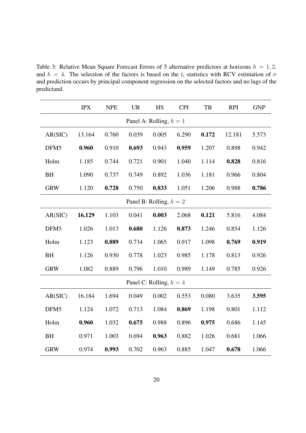Table 3: Relative Mean Square Forecast Errors of 5 alternative predictors at horizons  $h = 1, 2,$ and  $h = 4$ . The selection of the factors is based on the  $t_i$  statistics with RCV estimation of  $\sigma$ and prediction occurs by principal component regression on the selected factors and no lags of the predictand.

|                  | <b>IPX</b> | <b>NPE</b> | <b>UR</b> | HS                        | <b>CPI</b> | TB    | <b>RPI</b> | <b>GNP</b> |
|------------------|------------|------------|-----------|---------------------------|------------|-------|------------|------------|
|                  |            |            |           | Panel A: Rolling, $h = 1$ |            |       |            |            |
| AR(SIC)          | 13.164     | 0.760      | 0.039     | 0.005                     | 6.290      | 0.172 | 12.181     | 5.573      |
| DFM5             | 0.960      | 0.910      | 0.693     | 0.943                     | 0.959      | 1.207 | 0.898      | 0.942      |
| Holm             | 1.185      | 0.744      | 0.721     | 0.901                     | 1.040      | 1.114 | 0.828      | 0.816      |
| BH               | 1.090      | 0.737      | 0.749     | 0.892                     | 1.036      | 1.181 | 0.966      | 0.804      |
| <b>GRW</b>       | 1.120      | 0.728      | 0.750     | 0.833                     | 1.051      | 1.206 | 0.988      | 0.786      |
|                  |            |            |           | Panel B: Rolling, $h = 2$ |            |       |            |            |
| AR(SIC)          | 16.129     | 1.103      | 0.041     | 0.003                     | 2.068      | 0.121 | 5.816      | 4.084      |
| DFM <sub>5</sub> | 1.026      | 1.013      | 0.680     | 1.126                     | 0.873      | 1.246 | 0.854      | 1.126      |
| Holm             | 1.123      | 0.889      | 0.734     | 1.065                     | 0.917      | 1.098 | 0.769      | 0.919      |
| <b>BH</b>        | 1.126      | 0.930      | 0.778     | 1.023                     | 0.985      | 1.178 | 0.813      | 0.926      |
| <b>GRW</b>       | 1.082      | 0.889      | 0.796     | 1.010                     | 0.989      | 1.149 | 0.785      | 0.926      |
|                  |            |            |           | Panel C: Rolling, $h = 4$ |            |       |            |            |
| AR(SIC)          | 16.184     | 1.694      | 0.049     | 0.002                     | 0.553      | 0.080 | 3.635      | 3.595      |
| DFM5             | 1.124      | 1.072      | 0.713     | 1.084                     | 0.869      | 1.198 | 0.801      | 1.112      |
| Holm             | 0.960      | 1.032      | 0.675     | 0.988                     | 0.896      | 0.975 | 0.686      | 1.145      |
| BH               | 0.971      | 1.003      | 0.694     | 0.963                     | 0.882      | 1.026 | 0.681      | 1.066      |
| <b>GRW</b>       | 0.974      | 0.993      | 0.702     | 0.963                     | 0.885      | 1.047 | 0.678      | 1.066      |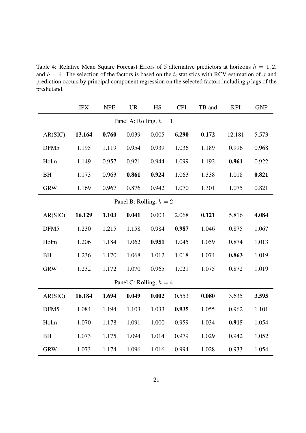Table 4: Relative Mean Square Forecast Errors of 5 alternative predictors at horizons  $h = 1, 2,$ and  $h = 4$ . The selection of the factors is based on the  $t_i$  statistics with RCV estimation of  $\sigma$  and prediction occurs by principal component regression on the selected factors including  $p$  lags of the predictand.

|                           | <b>IPX</b> | <b>NPE</b> | <b>UR</b> | <b>HS</b>                 | <b>CPI</b> | TB and | <b>RPI</b> | <b>GNP</b> |  |  |
|---------------------------|------------|------------|-----------|---------------------------|------------|--------|------------|------------|--|--|
| Panel A: Rolling, $h = 1$ |            |            |           |                           |            |        |            |            |  |  |
| AR(SIC)                   | 13.164     | 0.760      | 0.039     | 0.005                     | 6.290      | 0.172  | 12.181     | 5.573      |  |  |
| DFM5                      | 1.195      | 1.119      | 0.954     | 0.939                     | 1.036      | 1.189  | 0.996      | 0.968      |  |  |
| Holm                      | 1.149      | 0.957      | 0.921     | 0.944                     | 1.099      | 1.192  | 0.961      | 0.922      |  |  |
| BH                        | 1.173      | 0.963      | 0.861     | 0.924                     | 1.063      | 1.338  | 1.018      | 0.821      |  |  |
| <b>GRW</b>                | 1.169      | 0.967      | 0.876     | 0.942                     | 1.070      | 1.301  | 1.075      | 0.821      |  |  |
| Panel B: Rolling, $h = 2$ |            |            |           |                           |            |        |            |            |  |  |
| AR(SIC)                   | 16.129     | 1.103      | 0.041     | 0.003                     | 2.068      | 0.121  | 5.816      | 4.084      |  |  |
| DFM5                      | 1.230      | 1.215      | 1.158     | 0.984                     | 0.987      | 1.046  | 0.875      | 1.067      |  |  |
| Holm                      | 1.206      | 1.184      | 1.062     | 0.951                     | 1.045      | 1.059  | 0.874      | 1.013      |  |  |
| <b>BH</b>                 | 1.236      | 1.170      | 1.068     | 1.012                     | 1.018      | 1.074  | 0.863      | 1.019      |  |  |
| <b>GRW</b>                | 1.232      | 1.172      | 1.070     | 0.965                     | 1.021      | 1.075  | 0.872      | 1.019      |  |  |
|                           |            |            |           | Panel C: Rolling, $h = 4$ |            |        |            |            |  |  |
| AR(SIC)                   | 16.184     | 1.694      | 0.049     | 0.002                     | 0.553      | 0.080  | 3.635      | 3.595      |  |  |
| DFM5                      | 1.084      | 1.194      | 1.103     | 1.033                     | 0.935      | 1.055  | 0.962      | 1.101      |  |  |
| Holm                      | 1.070      | 1.178      | 1.091     | 1.000                     | 0.959      | 1.034  | 0.915      | 1.054      |  |  |
| <b>BH</b>                 | 1.073      | 1.175      | 1.094     | 1.014                     | 0.979      | 1.029  | 0.942      | 1.052      |  |  |
| <b>GRW</b>                | 1.073      | 1.174      | 1.096     | 1.016                     | 0.994      | 1.028  | 0.933      | 1.054      |  |  |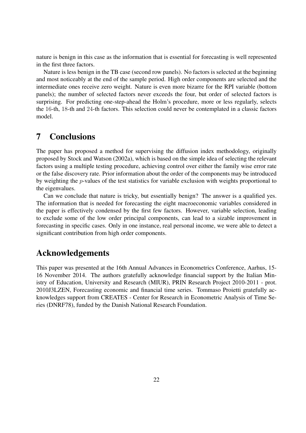nature is benign in this case as the information that is essential for forecasting is well represented in the first three factors.

Nature is less benign in the TB case (second row panels). No factors is selected at the beginning and most noticeably at the end of the sample period. High order components are selected and the intermediate ones receive zero weight. Nature is even more bizarre for the RPI variable (bottom panels); the number of selected factors never exceeds the four, but order of selected factors is surprising. For predicting one-step-ahead the Holm's procedure, more or less regularly, selects the 16-th, 18-th and 24-th factors. This selection could never be contemplated in a classic factors model.

## 7 Conclusions

The paper has proposed a method for supervising the diffusion index methodology, originally proposed by Stock and Watson (2002a), which is based on the simple idea of selecting the relevant factors using a multiple testing procedure, achieving control over either the family wise error rate or the false discovery rate. Prior information about the order of the components may be introduced by weighting the p-values of the test statistics for variable exclusion with weights proportional to the eigenvalues.

Can we conclude that nature is tricky, but essentially benign? The answer is a qualified yes. The information that is needed for forecasting the eight macroeconomic variables considered in the paper is effectively condensed by the first few factors. However, variable selection, leading to exclude some of the low order principal components, can lead to a sizable improvement in forecasting in specific cases. Only in one instance, real personal income, we were able to detect a significant contribution from high order components.

## Acknowledgements

This paper was presented at the 16th Annual Advances in Econometrics Conference, Aarhus, 15- 16 November 2014. The authors gratefully acknowledge financial support by the Italian Ministry of Education, University and Research (MIUR), PRIN Research Project 2010-2011 - prot. 2010J3LZEN, Forecasting economic and financial time series. Tommaso Proietti gratefully acknowledges support from CREATES - Center for Research in Econometric Analysis of Time Series (DNRF78), funded by the Danish National Research Foundation.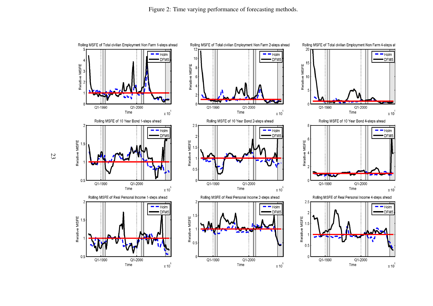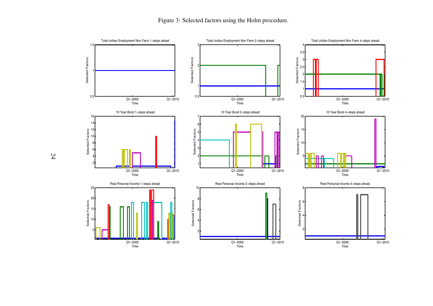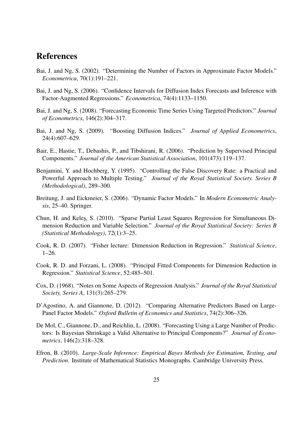## References

- Bai, J. and Ng, S. (2002). "Determining the Number of Factors in Approximate Factor Models." *Econometrica*, 70(1):191–221.
- Bai, J. and Ng, S. (2006). "Confidence Intervals for Diffusion Index Forecasts and Inference with Factor-Augmented Regressions." *Econometrica*, 74(4):1133–1150.
- Bai, J. and Ng, S. (2008). "Forecasting Economic Time Series Using Targeted Predictors." *Journal of Econometrics*, 146(2):304–317.
- Bai, J. and Ng, S. (2009). "Boosting Diffusion Indices." *Journal of Applied Econometrics*, 24(4):607–629.
- Bair, E., Hastie, T., Debashis, P., and Tibshirani, R. (2006). "Prediction by Supervised Principal Components." *Journal of the American Statistical Association*, 101(473):119–137.
- Benjamini, Y. and Hochberg, Y. (1995). "Controlling the False Discovery Rate: a Practical and Powerful Approach to Multiple Testing." *Journal of the Royal Statistical Society. Series B (Methodological)*, 289–300.
- Breitung, J. and Eickmeier, S. (2006). "Dynamic Factor Models." In *Modern Econometric Analysis*, 25–40. Springer.
- Chun, H. and Keles, S. (2010). "Sparse Partial Least Squares Regression for Simultaneous Dimension Reduction and Variable Selection." *Journal of the Royal Statistical Society: Series B (Statistical Methodology)*, 72(1):3–25.
- Cook, R. D. (2007). "Fisher lecture: Dimension Reduction in Regression." *Statistical Science*, 1–26.
- Cook, R. D. and Forzani, L. (2008). "Principal Fitted Components for Dimension Reduction in Regression." *Statistical Science*, 52:485–501.
- Cox, D. (1968). "Notes on Some Aspects of Regression Analysis." *Journal of the Royal Statistical Society, Series A*, 131(3):265–279.
- D'Agostino, A. and Giannone, D. (2012). "Comparing Alternative Predictors Based on Large-Panel Factor Models." *Oxford Bulletin of Economics and Statistics*, 74(2):306–326.
- De Mol, C., Giannone, D., and Reichlin, L. (2008). "Forecasting Using a Large Number of Predictors: Is Bayesian Shrinkage a Valid Alternative to Principal Components?" *Journal of Econometrics*, 146(2):318–328.
- Efron, B. (2010). *Large-Scale Inference: Empirical Bayes Methods for Estimation, Testing, and Prediction*. Institute of Mathematical Statistics Monographs. Cambridge University Press.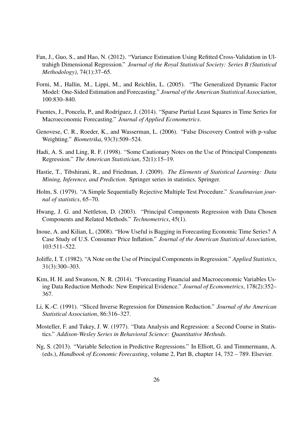- Fan, J., Guo, S., and Hao, N. (2012). "Variance Estimation Using Refitted Cross-Validation in Ultrahigh Dimensional Regression." *Journal of the Royal Statistical Society: Series B (Statistical Methodology)*, 74(1):37–65.
- Forni, M., Hallin, M., Lippi, M., and Reichlin, L. (2005). "The Generalized Dynamic Factor Model: One-Sided Estimation and Forecasting." *Journal of the American Statistical Association*, 100:830–840.
- Fuentes, J., Poncela, P., and Rodríguez, J. (2014). "Sparse Partial Least Squares in Time Series for Macroeconomic Forecasting." *Journal of Applied Econometrics*.
- Genovese, C. R., Roeder, K., and Wasserman, L. (2006). "False Discovery Control with p-value Weighting." *Biometrika*, 93(3):509–524.
- Hadi, A. S. and Ling, R. F. (1998). "Some Cautionary Notes on the Use of Principal Components Regression." *The American Statistician*, 52(1):15–19.
- Hastie, T., Tibshirani, R., and Friedman, J. (2009). *The Elements of Statistical Learning: Data Mining, Inference, and Prediction*. Springer series in statistics. Springer.
- Holm, S. (1979). "A Simple Sequentially Rejective Multiple Test Procedure." *Scandinavian journal of statistics*, 65–70.
- Hwang, J. G. and Nettleton, D. (2003). "Principal Components Regression with Data Chosen Components and Related Methods." *Technometrics*, 45(1).
- Inoue, A. and Kilian, L. (2008). "How Useful is Bagging in Forecasting Economic Time Series? A Case Study of U.S. Consumer Price Inflation." *Journal of the American Statistical Association*, 103:511–522.
- Joliffe, I. T. (1982). "A Note on the Use of Principal Components in Regression." *Applied Statistics*, 31(3):300–303.
- Kim, H. H. and Swanson, N. R. (2014). "Forecasting Financial and Macroeconomic Variables Using Data Reduction Methods: New Empirical Evidence." *Journal of Econometrics*, 178(2):352– 367.
- Li, K.-C. (1991). "Sliced Inverse Regression for Dimension Reduction." *Journal of the American Statistical Association*, 86:316–327.
- Mosteller, F. and Tukey, J. W. (1977). "Data Analysis and Regression: a Second Course in Statistics." *Addison-Wesley Series in Behavioral Science: Quantitative Methods*.
- Ng, S. (2013). "Variable Selection in Predictive Regressions." In Elliott, G. and Timmermann, A. (eds.), *Handbook of Economic Forecasting*, volume 2, Part B, chapter 14, 752 – 789. Elsevier.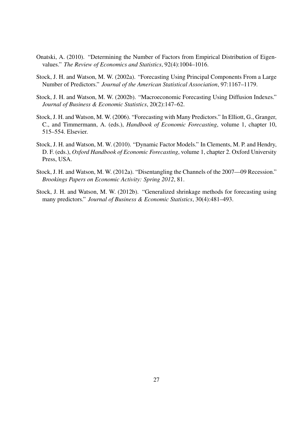- Onatski, A. (2010). "Determining the Number of Factors from Empirical Distribution of Eigenvalues." *The Review of Economics and Statistics*, 92(4):1004–1016.
- Stock, J. H. and Watson, M. W. (2002a). "Forecasting Using Principal Components From a Large Number of Predictors." *Journal of the American Statistical Association*, 97:1167–1179.
- Stock, J. H. and Watson, M. W. (2002b). "Macroeconomic Forecasting Using Diffusion Indexes." *Journal of Business & Economic Statistics*, 20(2):147–62.
- Stock, J. H. and Watson, M. W. (2006). "Forecasting with Many Predictors." In Elliott, G., Granger, C., and Timmermann, A. (eds.), *Handbook of Economic Forecasting*, volume 1, chapter 10, 515–554. Elsevier.
- Stock, J. H. and Watson, M. W. (2010). "Dynamic Factor Models." In Clements, M. P. and Hendry, D. F. (eds.), *Oxford Handbook of Economic Forecasting*, volume 1, chapter 2. Oxford University Press, USA.
- Stock, J. H. and Watson, M. W. (2012a). "Disentangling the Channels of the 2007—09 Recession." *Brookings Papers on Economic Activity: Spring 2012*, 81.
- Stock, J. H. and Watson, M. W. (2012b). "Generalized shrinkage methods for forecasting using many predictors." *Journal of Business & Economic Statistics*, 30(4):481–493.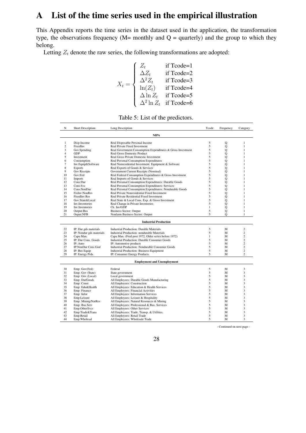## A List of the time series used in the empirical illustration

This Appendix reports the time series in the dataset used in the application, the transformation type, the observations frequency ( $M$ = monthly and  $Q$  = quarterly) and the group to which they belong.

Letting  $Z_t$  denote the raw series, the following transformations are adopted:

$$
X_t = \begin{cases} Z_t & \text{if Tcode=1} \\ \Delta Z_t & \text{if Tcode=2} \\ \Delta^2 Z_t & \text{if Tcode=3} \\ \ln(Z_t) & \text{if Tcode=4} \\ \Delta \ln Z_t & \text{if Tcode=5} \\ \Delta^2 \ln Z_t & \text{if Tcode=6} \end{cases}
$$

| N              | <b>Short Description</b> | Long Description                                            | Tcode             | Frequency | Category                     |  |  |  |  |  |
|----------------|--------------------------|-------------------------------------------------------------|-------------------|-----------|------------------------------|--|--|--|--|--|
|                | <b>NIPA</b>              |                                                             |                   |           |                              |  |  |  |  |  |
| $\mathbf{1}$   | Disp-Income              | Real Disposable Personal Income                             | 5                 | Q         | $\mathbf{1}$                 |  |  |  |  |  |
| $\overline{c}$ | FixedInv                 | Real Private Fixed Investment                               | 5                 | Q         | $\mathbf{1}$                 |  |  |  |  |  |
| 3              | Gov.Spending             | Real Government Consumption Expenditures & Gross Investment | 5                 | Q         | $\mathbf{1}$                 |  |  |  |  |  |
| $\overline{4}$ | <b>GDP</b>               | Real Gross Domestic Product                                 | 5                 | Q         | $\mathbf{1}$                 |  |  |  |  |  |
| 5              | Investment               | Real Gross Private Domestic Investment                      | 5                 | Q         | $\mathbf{1}$                 |  |  |  |  |  |
| 6              | Consumption              | Real Personal Consumption Expenditures                      | 5                 | Q         | $\mathbf{1}$                 |  |  |  |  |  |
| $\overline{7}$ | Inv:Equip&Software       | Real Nonresidential Investment: Equipment & Software        | 5                 | Q         | $\mathbf{1}$                 |  |  |  |  |  |
| 8              | <b>Exports</b>           | Real Exports of Goods & Services                            | 5                 | Q         | $\mathbf{1}$                 |  |  |  |  |  |
| 9              | Gov Receipts             | Government Current Receipts (Nominal)                       | 5                 | Q         | $\mathbf{1}$                 |  |  |  |  |  |
| 10             | Gov:Fed                  | Real Federal Consumption Expenditures & Gross Investment    | 5                 | Q         | $\mathbf{1}$                 |  |  |  |  |  |
| 11             | Imports                  | Real Imports of Goods & Services                            | 5                 | Q         | $\mathbf{1}$                 |  |  |  |  |  |
| 12             | Cons:Dur                 | Real Personal Consumption Expenditures: Durable Goods       | 5                 | Q         | $\mathbf{1}$                 |  |  |  |  |  |
| 13             | Cons:Svc                 | Real Personal Consumption Expenditures: Services            | 5                 | Q         | $\mathbf{1}$                 |  |  |  |  |  |
| 14             | Cons:NonDur              | Real Personal Consumption Expenditures: Nondurable Goods    | 5                 | Q         | $\mathbf{1}$                 |  |  |  |  |  |
| 15             | FixInv:NonRes            | Real Private Nonresidential Fixed Investment                | 5                 | Q         | $\mathbf{1}$                 |  |  |  |  |  |
| 16             | FixedInv:Res             | Real Private Residential Fixed Investment                   | 5                 | Q         | $\mathbf{1}$                 |  |  |  |  |  |
| 17             | Gov:State&Local          | Real State & Local Cons. Exp. & Gross Investment            | 5                 | Q         | $\mathbf{1}$                 |  |  |  |  |  |
| 18             | Inv:Inventories          | Real Change in Private Inventories                          | 5                 | Q         | $\mathbf{1}$                 |  |  |  |  |  |
| 19             | Inv:Inventories          | Ch. Inv/GDP                                                 | $\mathbf{1}$<br>5 | Q         | $\mathbf{1}$<br>$\mathbf{1}$ |  |  |  |  |  |
| 20<br>21       | Output:Bus               | <b>Business Sector: Output</b>                              | 5                 | Q         | $\mathbf{1}$                 |  |  |  |  |  |
|                | Ouput:NFB                | Nonfarm Business Sector: Output                             |                   | $\circ$   |                              |  |  |  |  |  |
|                |                          | <b>Industrial Production</b>                                |                   |           |                              |  |  |  |  |  |
| 22             | IP: Dur gds materials    | <b>Industrial Production: Durable Materials</b>             | 5                 | M         | $\overline{c}$               |  |  |  |  |  |
| 23             | IP: Nondur gds materials | Industrial Production: nondurable Materials                 | 5                 | M         | $\overline{c}$               |  |  |  |  |  |
| 24             | Capu Man.                | Capu Man. (Fred post 1972, Older series before 1972)        | $\mathbf{1}$      | M         | $\overline{c}$               |  |  |  |  |  |
| 25             | IP: Dur Cons. Goods      | Industrial Production: Durable Consumer Goods               | 5                 | M         | $\overline{c}$               |  |  |  |  |  |
| 26             | IP: Auto                 | IP: Automotive products                                     | 5                 | M         | $\overline{c}$               |  |  |  |  |  |
| 27             | IP:NonDur Cons God       | Industrial Production: Nondurable Consumer Goods            | 5                 | M         | $\overline{c}$               |  |  |  |  |  |
| 28             | IP: Bus Equip            | <b>Industrial Production: Business Equipment</b>            | 5                 | M         | $\overline{c}$               |  |  |  |  |  |
| 29             | IP: Energy Prds          | IP: Consumer Energy Products                                | 5                 | M         | $\overline{c}$               |  |  |  |  |  |
|                |                          |                                                             |                   |           |                              |  |  |  |  |  |
|                |                          | <b>Employment and Unemployment</b>                          |                   |           |                              |  |  |  |  |  |
| 30             | Emp: Gov(Fed)            | Federal                                                     | 5                 | M         | 3                            |  |  |  |  |  |
| 31             | Emp: Gov (State)         | State government                                            | 5                 | M         | 3                            |  |  |  |  |  |
| 32             | Emp: Gov (Local)         | Local government                                            | 5                 | M         | 3                            |  |  |  |  |  |
| 33             | Emp: DurGoods            | All Employees: Durable Goods Manufacturing                  | 5                 | M         | 3                            |  |  |  |  |  |
| 34             | Emp: Const               | All Employees: Construction                                 | 5                 | M         | 3                            |  |  |  |  |  |
| 35             | Emp: Edu&Health          | All Employees: Education & Health Services                  | 5                 | M         | 3                            |  |  |  |  |  |
| 36             | Emp: Finance             | All Employees: Financial Activities                         | 5                 | M         | 3                            |  |  |  |  |  |
| 37             | Emp: Infor               | All Employees: Information Services                         | 5                 | M         | 3                            |  |  |  |  |  |
| 38             | Emp:Leisure              | All Employees: Leisure & Hospitality                        | 5                 | M         | 3                            |  |  |  |  |  |
| 39             | Emp: Mining/NatRes       | All Employees: Natural Resources & Mining                   | 5                 | M         | 3                            |  |  |  |  |  |
| 40             | Emp: Bus Serv            | All Employees: Professional & Bus. Services                 | 5                 | M         | 3                            |  |  |  |  |  |
| 41             | Emp:OtherSvcs            | All Employees: Other Services                               | 5                 | M         | 3                            |  |  |  |  |  |
| 42             | Emp:Trade&Trans          | All Employees: Trade, Transp. & Utilities                   | 5                 | M         | 3                            |  |  |  |  |  |
| 43             | Emp:Retail               | All Employees: Retail Trade                                 | 5                 | M         | 3                            |  |  |  |  |  |
| 44             | Emp: Wholesal            | All Employees: Wholesale Trade                              | 5                 | M         | 3                            |  |  |  |  |  |

- Continued on next page -

28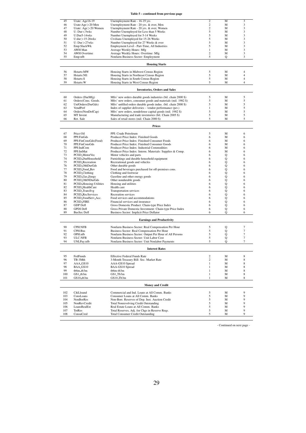Table 5 – continued from previous page

| 45  | Urate: Age16-19             | Unemployment Rate - 16-19 yrs                                   | 2              | М       | 3              |
|-----|-----------------------------|-----------------------------------------------------------------|----------------|---------|----------------|
| 46  | Urate:Age > 20 Men          | Unemployment Rate - 20 yrs. & over, Men                         | $\,2$          | М       | 3              |
| 47  | Urate: Age > 20 Women       | Unemployment Rate - 20 yrs. & over, Women                       | $\overline{c}$ | М       | 3              |
| 48  | $U: Dur < 5w$ ks            | Number Unemployed for Less than 5 Weeks                         | 5              | M       | 3              |
| 49  |                             | Number Unemployed for 5-14 Weeks                                | 5              |         |                |
|     | U:Dur5-14wks                |                                                                 |                | М       | 3              |
| 50  | $U: dur > 15-26wks$         | Civilians Unemployed for 15-26 Weeks                            | 5              | М       | 3              |
| 51  | U: Dur > 27wks              | Number Unemployed for 27 Weeks & over                           | 5              | М       | 3              |
| 52  | Emp:SlackWk                 | Employment Level - Part-Time, All Industries                    | 5              | М       | 3              |
| 53  | AWH Man                     | Average Weekly Hours: Mfg                                       | $\mathbf{1}$   | М       | 3              |
| 54  | <b>AWH Overtime</b>         | Average Weekly Hours: Overtime: Mfg                             | $\overline{c}$ | М       | 3              |
| 55  | Emp:nfb                     | Nonfarm Business Sector: Employment                             | 5              | Q       | 3              |
|     |                             |                                                                 |                |         |                |
|     |                             | <b>Housing Starts</b>                                           |                |         |                |
|     |                             |                                                                 |                |         |                |
| 56  | Hstarts:MW                  | Housing Starts in Midwest Census Region                         | 5              | М       | $\overline{4}$ |
| 57  | Hstarts:NE                  | Housing Starts in Northeast Census Region                       | 5              | M       | $\overline{4}$ |
| 58  | Hstarts:S                   | Housing Starts in South Census Region                           | 5              | М       | $\overline{4}$ |
| 59  | Hstarts:W                   | Housing Starts in West Census Region                            | 5              | M       | 4              |
|     |                             | <b>Inventories, Orders and Sales</b>                            |                |         |                |
|     |                             |                                                                 |                |         |                |
| 60  | Orders (DurMfg)             | Mfrs' new orders durable goods industries (bil. chain 2000 \$)  | 5              | М       | 5              |
| 61  | Orders(Cons. Goods.         | Mfrs' new orders, consumer goods and materials (mil. 1982 \$)   | 5              | М       | 5              |
|     | UnfOrders(DurGds)           |                                                                 | 5              | M       | 5              |
| 62  |                             | Mfrs' unfilled orders durable goods indus. (bil. chain 2000 \$) |                |         |                |
| 63  | VendPerf                    | Index of supplier deliveries – vendor performance (pct.)        | 1              | М       | 5              |
| 64  | Orders(NonDefCap)           | Mfrs' new orders, nondefense capital goods (mil. 1982 \$)       | 5              | М       | 5              |
| 65  | MT Invent                   | Manufacturing and trade inventories (bil. Chain 2005 \$)        | 5              | M       | 5              |
| 66  | Ret. Sale                   | Sales of retail stores (mil. Chain 2000 \$)                     | 5              | M       | 5              |
|     |                             |                                                                 |                |         |                |
|     |                             | Prices                                                          |                |         |                |
| 67  | Price:Oil                   | PPI: Crude Petroleum                                            | 5              | М       | 6              |
| 68  | PPI:FinGds                  | Producer Price Index: Finished Goods                            | 6              | M       | 6              |
|     |                             | Producer Price Index: Finished Consumer Foods                   |                |         |                |
| 69  | PPI:FinConsGds(Food)        |                                                                 | 6              | М       | 6              |
| 70  | PPI:FinConsGds              | Producer Price Index: Finished Consumer Goods                   | 6              | М       | 6              |
| 71  | PPI:IndCom                  | Producer Price Index: Industrial Commodities                    | 6              | М       | 6              |
| 72  | PPI:IntMat                  | Producer Price Index: Interm. Materials: Supplies & Comp.       | 6              | M       | 6              |
| 73  | PCED_MotorVec               | Motor vehicles and parts                                        | 6              | Q       | 6              |
| 74  | PCED_DurHousehold           | Furnishings and durable household equipment                     | 6              | Q       | 6              |
| 75  | PCED_Recreation             | Recreational goods and vehicles                                 | 6              | Q       | 6              |
| 76  | PCED_OthDurGds              | Other durable goods                                             | 6              | Q       | 6              |
| 77  | PCED_Food_Bev               | Food and beverages purchased for off-premises cons.             | 6              | Q       | 6              |
| 78  | PCED <sub>-Clothing</sub>   | Clothing and footwear                                           | 6              | Q       | 6              |
| 79  | PCED <sub>-Gas</sub> _Enrgy | Gasoline and other energy goods                                 | 6              | $\bf Q$ | 6              |
| 80  | PCED_OthNDurGds             | Other nondurable goods                                          | 6              | Q       | 6              |
|     |                             |                                                                 |                |         |                |
| 81  | PCED_Housing-Utilities      | Housing and utilities                                           | 6              | Q       | 6              |
| 82  | PCED_HealthCare             | Health care                                                     | 6              | Q       | 6              |
| 83  | PCED <sub>-Trans</sub> Svg  | Transportation services                                         | 6              | Q       | 6              |
| 84  | PCED_RecServices            | Recreation services                                             | 6              | Q       | 6              |
| 85  | PCED_FoodServ_Acc.          | Food services and accommodations                                | 6              | $\bf Q$ | 6              |
| 86  | PCED_FIRE                   | Financial services and insurance                                | 6              | Q       | 6              |
| 87  | GDP Defl                    | Gross Domestic Product: Chain-type Price Index                  | 6              | Q       | 6              |
| 88  | <b>GPDI</b> Defl            | Gross Private Domestic Investment: Chain-type Price Index       | 6              | Q       | 6              |
| 89  | <b>BusSec Deff</b>          | Business Sector: Implicit Price Deflator                        | 6              | Q       | 6              |
|     |                             |                                                                 |                |         |                |
|     |                             | <b>Earnings and Productivity</b>                                |                |         |                |
| 90  | CPH:NFB                     | Nonfarm Business Sector: Real Compensation Per Hour             | 5              | Q       | 7              |
| 91  | CPH:Bus                     | Business Sector: Real Compensation Per Hour                     | 5              | Q       | $\tau$         |
| 92  | OPH:nfb                     | Nonfarm Business Sector: Output Per Hour of All Persons         | 5              | Q       | $\tau$         |
| 93  | <b>ULC:NFB</b>              | Nonfarm Business Sector: Unit Labor Cost                        | 5              | Q       | $\tau$         |
| 94  | UNLPay:nfb                  | Nonfarm Business Sector: Unit Nonlabor Payments                 | 5              | Q       | $\tau$         |
|     |                             |                                                                 |                |         |                |
|     |                             | <b>Interest Rates</b>                                           |                |         |                |
|     |                             |                                                                 |                |         |                |
| 95  | FedFunds                    | <b>Effective Federal Funds Rate</b>                             | $\overline{c}$ | М       | 8              |
| 96  | TB-3Mth                     | 3-Month Treasury Bill: Sec. Market Rate                         | $\overline{c}$ | М       | 8              |
| 97  | AAA_GS10                    | AAA-GS10 Spread                                                 | 1              | M       | 8              |
| 98  | BAA <sub>-GS10</sub>        | BAA-GS10 Spread                                                 | 1              | М       | 8              |
| 99  | tb6m_tb3m                   | tb6m-tb3m                                                       | 1              | М       | 8              |
| 100 | GS1_tb3m                    | GS1_Tb3m                                                        | 1              | М       | 8              |
| 101 | GS10_tb3m                   | $GS10_Tb3m$                                                     | 1              | М       | 8              |
|     |                             | <b>Money and Credit</b>                                         |                |         |                |
|     |                             |                                                                 |                |         |                |
| 102 | C&Lloand                    | Commercial and Ind. Loans at All Comm. Banks                    | 5              | М       | 9              |
| 103 | ConsLoans                   | Consumer Loans at All Comm. Banks                               | 5              | М       | 9              |
| 104 | NonBorRes                   | Non-Borr. Reserves of Dep. Inst. Auction Credit                 | 5              | М       | 9              |
| 105 | NonRevCredit                | <b>Total Nonrevolving Credit Outstanding</b>                    | 5              | М       | 9              |
| 106 | LoansRealEst                | Real Estate Loans at All Comm. Banks                            | 5              | М       | 9              |
| 107 | TotRes                      | Total Reserves, Adj. for Chgs in Reserve Reqs.                  | 5              | М       | 9              |
| 108 | ConsuCred                   | <b>Total Consumer Credit Outstanding</b>                        | 5              | М       | 9              |
|     |                             |                                                                 |                |         |                |

- Continued on next page -